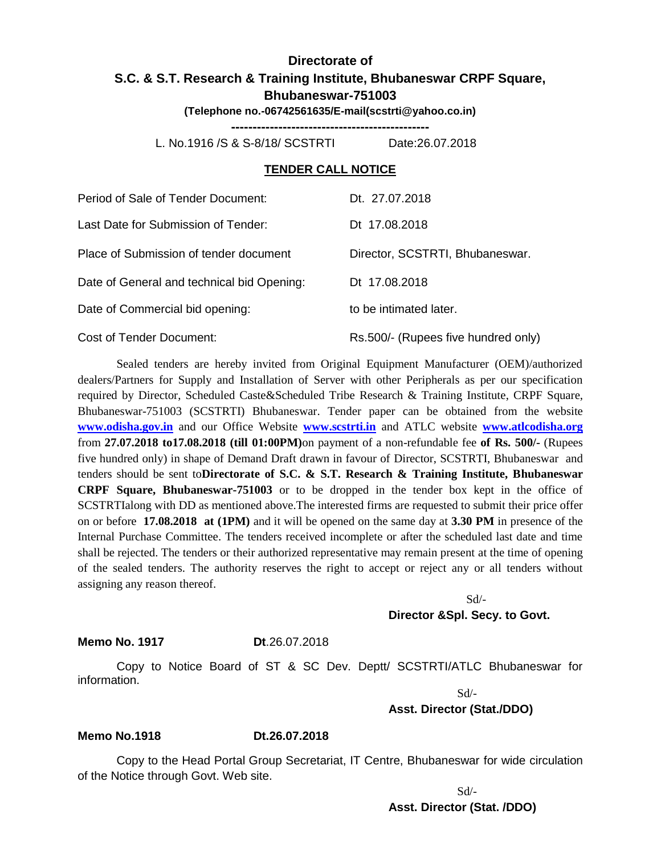# **Directorate of S.C. & S.T. Research & Training Institute, Bhubaneswar CRPF Square, Bhubaneswar-751003**

**(Telephone no.-06742561635/E-mail(scstrti@yahoo.co.in)**

**----------------------------------------------**

L. No.1916 /S & S-8/18/ SCSTRTI Date:26.07.2018

#### **TENDER CALL NOTICE**

| Period of Sale of Tender Document:         | Dt. 27.07.2018                      |
|--------------------------------------------|-------------------------------------|
| Last Date for Submission of Tender:        | Dt 17.08.2018                       |
| Place of Submission of tender document     | Director, SCSTRTI, Bhubaneswar.     |
| Date of General and technical bid Opening: | Dt 17.08.2018                       |
| Date of Commercial bid opening:            | to be intimated later.              |
| Cost of Tender Document:                   | Rs.500/- (Rupees five hundred only) |

Sealed tenders are hereby invited from Original Equipment Manufacturer (OEM)/authorized dealers/Partners for Supply and Installation of Server with other Peripherals as per our specification required by Director, Scheduled Caste&Scheduled Tribe Research & Training Institute, CRPF Square, Bhubaneswar-751003 (SCSTRTI) Bhubaneswar. Tender paper can be obtained from the website **[www.odisha.gov.in](http://www.odisha.gov.in/)** and our Office Website **[www.scstrti.in](http://www.scstrti.in/)** and ATLC website **[www.atlcodisha.org](http://www.atlcodisha.org/)** from **27.07.2018 to17.08.2018 (till 01:00PM)**on payment of a non-refundable fee **of Rs. 500/-** (Rupees five hundred only) in shape of Demand Draft drawn in favour of Director, SCSTRTI, Bhubaneswar and tenders should be sent to**Directorate of S.C. & S.T. Research & Training Institute, Bhubaneswar CRPF Square, Bhubaneswar-751003** or to be dropped in the tender box kept in the office of SCSTRTIalong with DD as mentioned above.The interested firms are requested to submit their price offer on or before **17.08.2018 at (1PM)** and it will be opened on the same day at **3.30 PM** in presence of the Internal Purchase Committee. The tenders received incomplete or after the scheduled last date and time shall be rejected. The tenders or their authorized representative may remain present at the time of opening of the sealed tenders. The authority reserves the right to accept or reject any or all tenders without assigning any reason thereof.

> Sd/- **Director &Spl. Secy. to Govt.**

**Memo No. 1917 Dt**.26.07.2018

Copy to Notice Board of ST & SC Dev. Deptt/ SCSTRTI/ATLC Bhubaneswar for information.

 $Sd$ <sup>-</sup> **Asst. Director (Stat./DDO)**

#### **Memo No.1918 Dt.26.07.2018**

Copy to the Head Portal Group Secretariat, IT Centre, Bhubaneswar for wide circulation of the Notice through Govt. Web site.

> $Sd$ <sup>-</sup> **Asst. Director (Stat. /DDO)**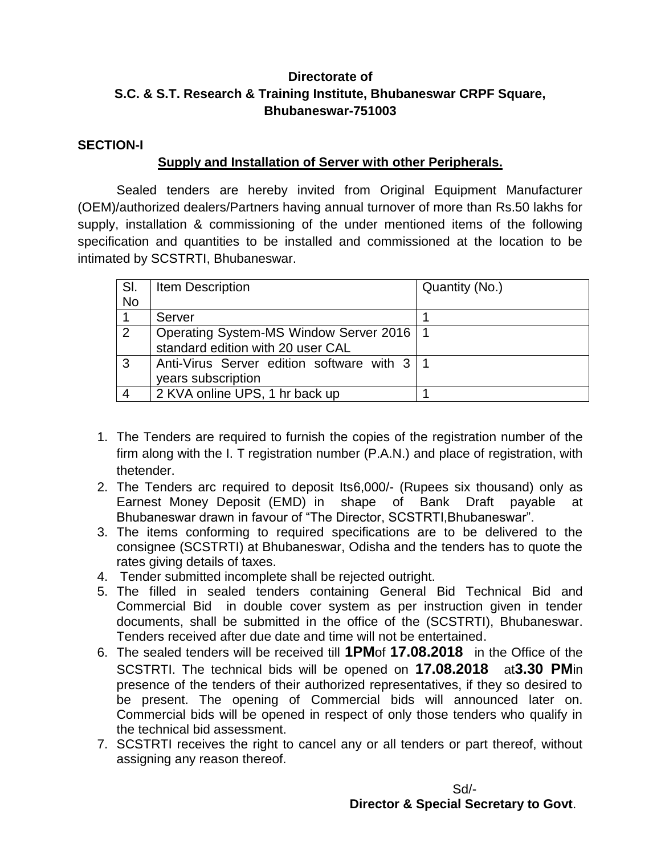# **Directorate of S.C. & S.T. Research & Training Institute, Bhubaneswar CRPF Square, Bhubaneswar-751003**

#### **SECTION-I**

### **Supply and Installation of Server with other Peripherals.**

Sealed tenders are hereby invited from Original Equipment Manufacturer (OEM)/authorized dealers/Partners having annual turnover of more than Rs.50 lakhs for supply, installation & commissioning of the under mentioned items of the following specification and quantities to be installed and commissioned at the location to be intimated by SCSTRTI, Bhubaneswar.

| SI. | Item Description                              | Quantity (No.) |
|-----|-----------------------------------------------|----------------|
| No  |                                               |                |
|     | Server                                        |                |
| 2   | Operating System-MS Window Server 2016   1    |                |
|     | standard edition with 20 user CAL             |                |
| -3  | Anti-Virus Server edition software with 3   1 |                |
|     | years subscription                            |                |
|     | 2 KVA online UPS, 1 hr back up                |                |

- 1. The Tenders are required to furnish the copies of the registration number of the firm along with the I. T registration number (P.A.N.) and place of registration, with thetender.
- 2. The Tenders arc required to deposit Its6,000/- (Rupees six thousand) only as Earnest Money Deposit (EMD) in shape of Bank Draft payable at Bhubaneswar drawn in favour of "The Director, SCSTRTI,Bhubaneswar".
- 3. The items conforming to required specifications are to be delivered to the consignee (SCSTRTI) at Bhubaneswar, Odisha and the tenders has to quote the rates giving details of taxes.
- 4. Tender submitted incomplete shall be rejected outright.
- 5. The filled in sealed tenders containing General Bid Technical Bid and Commercial Bid in double cover system as per instruction given in tender documents, shall be submitted in the office of the (SCSTRTI), Bhubaneswar. Tenders received after due date and time will not be entertained.
- 6. The sealed tenders will be received till **1PM**of **17.08.2018** in the Office of the SCSTRTI. The technical bids will be opened on **17.08.2018** at**3.30 PM**in presence of the tenders of their authorized representatives, if they so desired to be present. The opening of Commercial bids will announced later on. Commercial bids will be opened in respect of only those tenders who qualify in the technical bid assessment.
- 7. SCSTRTI receives the right to cancel any or all tenders or part thereof, without assigning any reason thereof.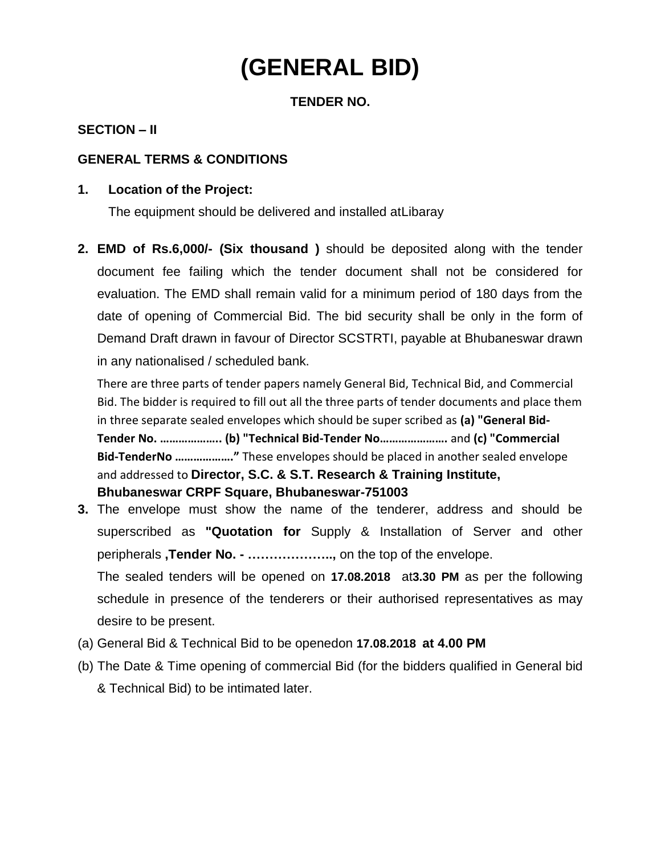# **(GENERAL BID)**

### **TENDER NO.**

#### **SECTION – II**

#### **GENERAL TERMS & CONDITIONS**

#### **1. Location of the Project:**

The equipment should be delivered and installed atLibaray

**2. EMD of Rs.6,000/- (Six thousand )** should be deposited along with the tender document fee failing which the tender document shall not be considered for evaluation. The EMD shall remain valid for a minimum period of 180 days from the date of opening of Commercial Bid. The bid security shall be only in the form of Demand Draft drawn in favour of Director SCSTRTI, payable at Bhubaneswar drawn in any nationalised / scheduled bank.

There are three parts of tender papers namely General Bid, Technical Bid, and Commercial Bid. The bidder is required to fill out all the three parts of tender documents and place them in three separate sealed envelopes which should be super scribed as **(a) "General Bid-Tender No. ……………….. (b) "Technical Bid-Tender No………………….** and **(c) "Commercial Bid-TenderNo ………………."** These envelopes should be placed in another sealed envelope and addressed to **Director, S.C. & S.T. Research & Training Institute, Bhubaneswar CRPF Square, Bhubaneswar-751003**

**3.** The envelope must show the name of the tenderer, address and should be superscribed as **"Quotation for** Supply & Installation of Server and other peripherals **,Tender No. - ………………..,** on the top of the envelope.

The sealed tenders will be opened on **17.08.2018** at**3.30 PM** as per the following schedule in presence of the tenderers or their authorised representatives as may desire to be present.

- (a) General Bid & Technical Bid to be openedon **17.08.2018 at 4.00 PM**
- (b) The Date & Time opening of commercial Bid (for the bidders qualified in General bid & Technical Bid) to be intimated later.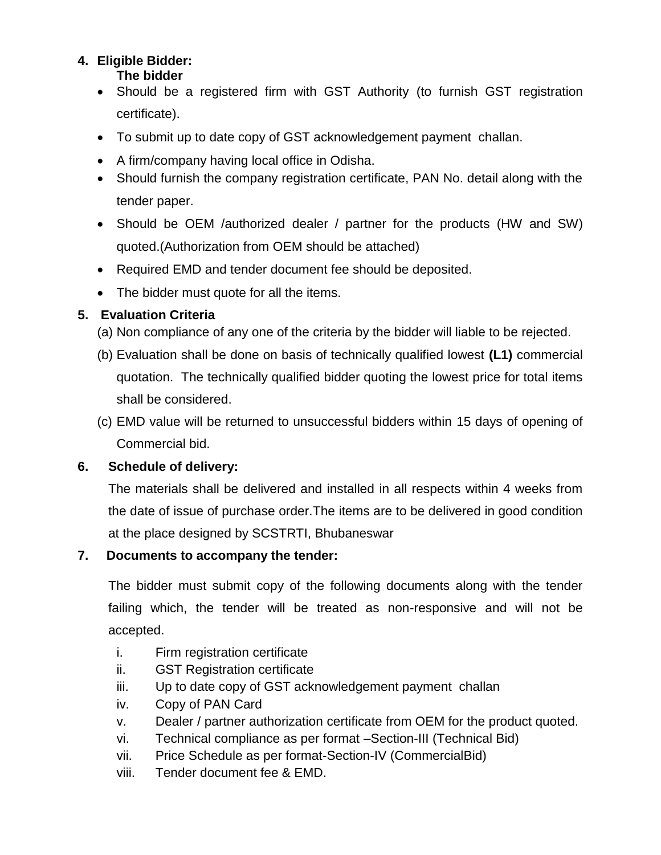#### **4. Eligible Bidder: The bidder**

- Should be a registered firm with GST Authority (to furnish GST registration certificate).
- To submit up to date copy of GST acknowledgement payment challan.
- A firm/company having local office in Odisha.
- Should furnish the company registration certificate, PAN No. detail along with the tender paper.
- Should be OEM /authorized dealer / partner for the products (HW and SW) quoted.(Authorization from OEM should be attached)
- Required EMD and tender document fee should be deposited.
- The bidder must quote for all the items.

# **5. Evaluation Criteria**

- (a) Non compliance of any one of the criteria by the bidder will liable to be rejected.
- (b) Evaluation shall be done on basis of technically qualified lowest **(L1)** commercial quotation. The technically qualified bidder quoting the lowest price for total items shall be considered.
- (c) EMD value will be returned to unsuccessful bidders within 15 days of opening of Commercial bid.

# **6. Schedule of delivery:**

The materials shall be delivered and installed in all respects within 4 weeks from the date of issue of purchase order.The items are to be delivered in good condition at the place designed by SCSTRTI, Bhubaneswar

# **7. Documents to accompany the tender:**

The bidder must submit copy of the following documents along with the tender failing which, the tender will be treated as non-responsive and will not be accepted.

- i. Firm registration certificate
- ii. GST Registration certificate
- iii. Up to date copy of GST acknowledgement payment challan
- iv. Copy of PAN Card
- v. Dealer / partner authorization certificate from OEM for the product quoted.
- vi. Technical compliance as per format –Section-III (Technical Bid)
- vii. Price Schedule as per format-Section-IV (CommercialBid)
- viii. Tender document fee & EMD.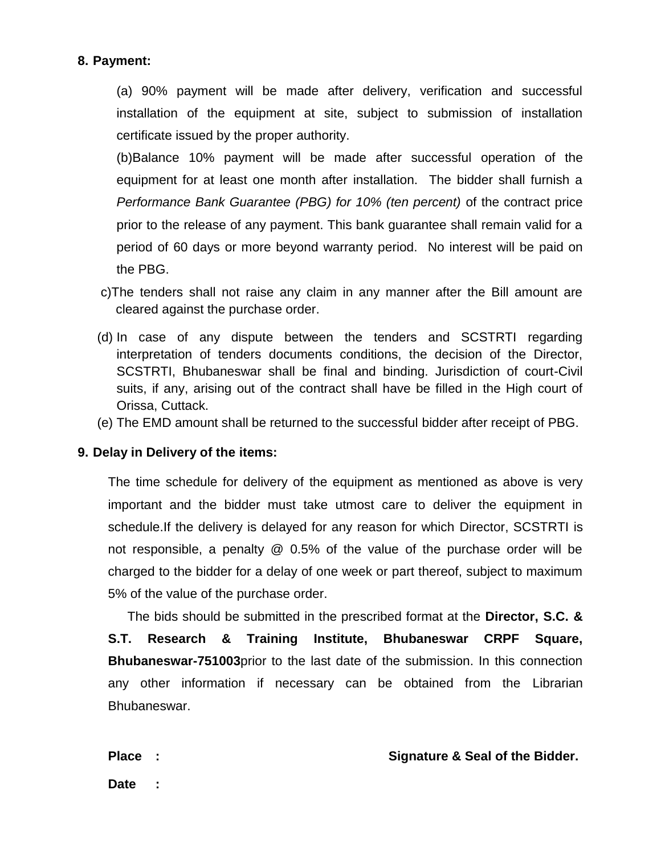#### **8. Payment:**

(a) 90% payment will be made after delivery, verification and successful installation of the equipment at site, subject to submission of installation certificate issued by the proper authority.

(b)Balance 10% payment will be made after successful operation of the equipment for at least one month after installation. The bidder shall furnish a *Performance Bank Guarantee (PBG) for 10% (ten percent)* of the contract price prior to the release of any payment. This bank guarantee shall remain valid for a period of 60 days or more beyond warranty period. No interest will be paid on the PBG.

- c)The tenders shall not raise any claim in any manner after the Bill amount are cleared against the purchase order.
- (d) In case of any dispute between the tenders and SCSTRTI regarding interpretation of tenders documents conditions, the decision of the Director, SCSTRTI, Bhubaneswar shall be final and binding. Jurisdiction of court-Civil suits, if any, arising out of the contract shall have be filled in the High court of Orissa, Cuttack.
- (e) The EMD amount shall be returned to the successful bidder after receipt of PBG.

#### **9. Delay in Delivery of the items:**

The time schedule for delivery of the equipment as mentioned as above is very important and the bidder must take utmost care to deliver the equipment in schedule.If the delivery is delayed for any reason for which Director, SCSTRTI is not responsible, a penalty @ 0.5% of the value of the purchase order will be charged to the bidder for a delay of one week or part thereof, subject to maximum 5% of the value of the purchase order.

The bids should be submitted in the prescribed format at the **Director, S.C. & S.T. Research & Training Institute, Bhubaneswar CRPF Square, Bhubaneswar-751003**prior to the last date of the submission. In this connection any other information if necessary can be obtained from the Librarian Bhubaneswar.

**Place : Signature & Seal of the Bidder.**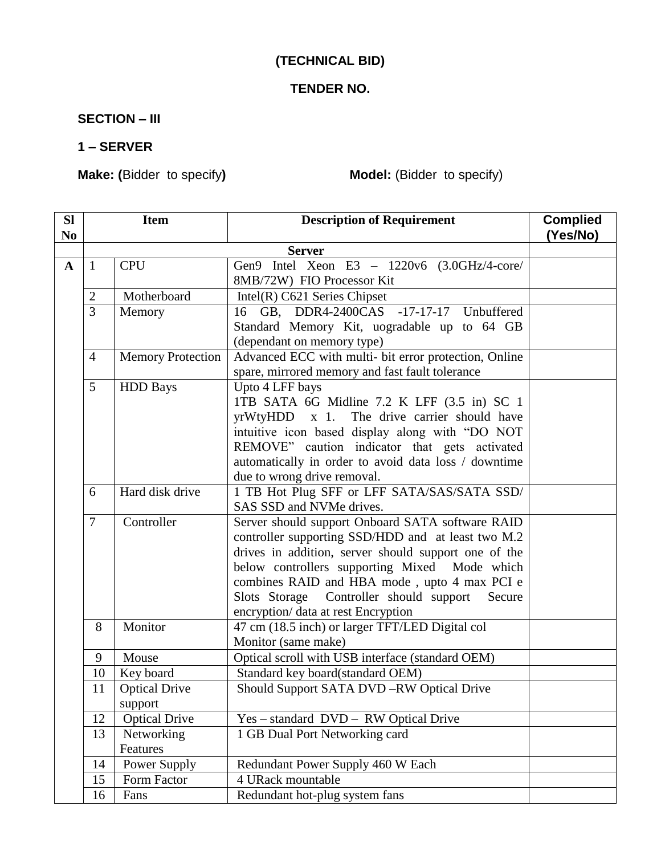# **(TECHNICAL BID)**

# **TENDER NO.**

**SECTION – III**

#### **1 – SERVER**

**Make: (**Bidder to specify**) Model:** (Bidder to specify)

| <b>SI</b><br>N <sub>0</sub>            | <b>Item</b>                                                     |                                 | <b>Description of Requirement</b>                                                                                                                                                                                                                                                                                                                           | <b>Complied</b><br>(Yes/No) |  |
|----------------------------------------|-----------------------------------------------------------------|---------------------------------|-------------------------------------------------------------------------------------------------------------------------------------------------------------------------------------------------------------------------------------------------------------------------------------------------------------------------------------------------------------|-----------------------------|--|
|                                        | <b>Server</b>                                                   |                                 |                                                                                                                                                                                                                                                                                                                                                             |                             |  |
| $\mathbf{A}$                           | 1                                                               | <b>CPU</b>                      | Gen9 Intel Xeon E3 - 1220v6 (3.0GHz/4-core/<br>8MB/72W) FIO Processor Kit                                                                                                                                                                                                                                                                                   |                             |  |
|                                        | $\overline{2}$                                                  | Motherboard                     | Intel $(R)$ C621 Series Chipset                                                                                                                                                                                                                                                                                                                             |                             |  |
|                                        | $\overline{3}$                                                  | Memory                          | 16 GB, DDR4-2400CAS -17-17-17 Unbuffered<br>Standard Memory Kit, uogradable up to 64 GB<br>(dependant on memory type)                                                                                                                                                                                                                                       |                             |  |
|                                        | $\overline{4}$                                                  | <b>Memory Protection</b>        | Advanced ECC with multi- bit error protection, Online<br>spare, mirrored memory and fast fault tolerance                                                                                                                                                                                                                                                    |                             |  |
|                                        | 5                                                               | <b>HDD</b> Bays                 | Upto 4 LFF bays<br>1TB SATA 6G Midline 7.2 K LFF (3.5 in) SC 1<br>yrWtyHDD x 1. The drive carrier should have<br>intuitive icon based display along with "DO NOT<br>REMOVE" caution indicator that gets activated<br>automatically in order to avoid data loss / downtime<br>due to wrong drive removal.                                                    |                             |  |
|                                        | 6                                                               | Hard disk drive                 | 1 TB Hot Plug SFF or LFF SATA/SAS/SATA SSD/<br>SAS SSD and NVMe drives.                                                                                                                                                                                                                                                                                     |                             |  |
|                                        | $\tau$                                                          | Controller                      | Server should support Onboard SATA software RAID<br>controller supporting SSD/HDD and at least two M.2<br>drives in addition, server should support one of the<br>below controllers supporting Mixed Mode which<br>combines RAID and HBA mode, upto 4 max PCI e<br>Slots Storage Controller should support<br>Secure<br>encryption/ data at rest Encryption |                             |  |
|                                        | Monitor<br>47 cm (18.5 inch) or larger TFT/LED Digital col<br>8 |                                 | Monitor (same make)                                                                                                                                                                                                                                                                                                                                         |                             |  |
|                                        | 9                                                               | Mouse                           | Optical scroll with USB interface (standard OEM)                                                                                                                                                                                                                                                                                                            |                             |  |
|                                        | 10                                                              | Key board                       | Standard key board(standard OEM)                                                                                                                                                                                                                                                                                                                            |                             |  |
|                                        | 11                                                              | <b>Optical Drive</b><br>support | Should Support SATA DVD-RW Optical Drive                                                                                                                                                                                                                                                                                                                    |                             |  |
|                                        | 12                                                              | <b>Optical Drive</b>            | Yes – standard DVD – RW Optical Drive                                                                                                                                                                                                                                                                                                                       |                             |  |
|                                        | 13                                                              | Networking<br>Features          | 1 GB Dual Port Networking card                                                                                                                                                                                                                                                                                                                              |                             |  |
|                                        | 14                                                              | Power Supply                    | Redundant Power Supply 460 W Each                                                                                                                                                                                                                                                                                                                           |                             |  |
| 15<br>Form Factor<br>4 URack mountable |                                                                 |                                 |                                                                                                                                                                                                                                                                                                                                                             |                             |  |
|                                        | 16                                                              | Fans                            | Redundant hot-plug system fans                                                                                                                                                                                                                                                                                                                              |                             |  |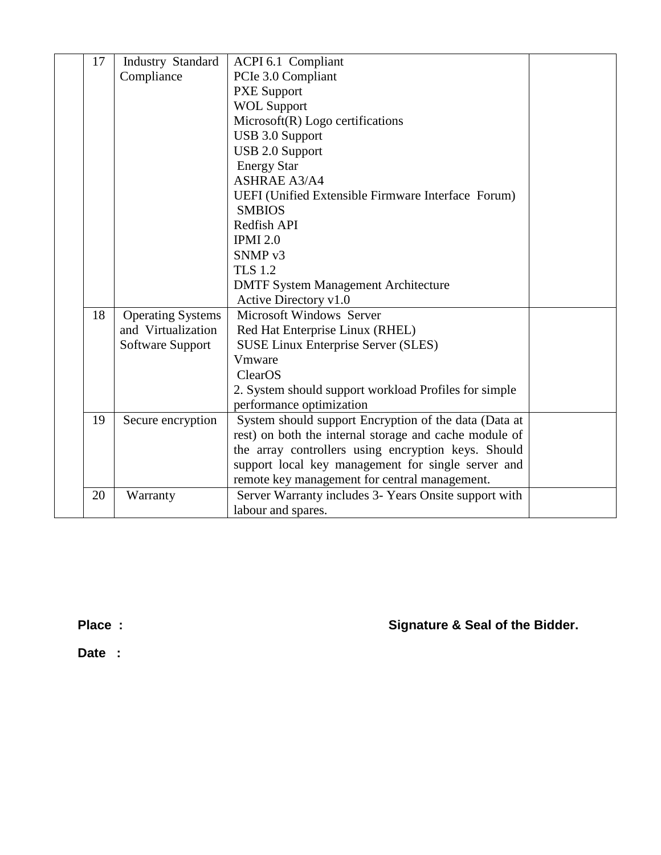| 17 | Industry Standard        | <b>ACPI 6.1 Compliant</b>                              |  |
|----|--------------------------|--------------------------------------------------------|--|
|    | Compliance               | PCIe 3.0 Compliant                                     |  |
|    |                          | <b>PXE Support</b>                                     |  |
|    |                          | <b>WOL Support</b>                                     |  |
|    |                          | $Microsoft(R) Logo$ certifications                     |  |
|    |                          | <b>USB 3.0 Support</b>                                 |  |
|    |                          | <b>USB 2.0 Support</b>                                 |  |
|    |                          | <b>Energy Star</b>                                     |  |
|    |                          | <b>ASHRAE A3/A4</b>                                    |  |
|    |                          | UEFI (Unified Extensible Firmware Interface Forum)     |  |
|    |                          | <b>SMBIOS</b>                                          |  |
|    |                          | Redfish API                                            |  |
|    |                          | <b>IPMI 2.0</b>                                        |  |
|    |                          | SNMP <sub>v3</sub>                                     |  |
|    |                          | <b>TLS 1.2</b>                                         |  |
|    |                          | <b>DMTF System Management Architecture</b>             |  |
|    |                          | Active Directory v1.0                                  |  |
| 18 | <b>Operating Systems</b> | Microsoft Windows Server                               |  |
|    | and Virtualization       | Red Hat Enterprise Linux (RHEL)                        |  |
|    | Software Support         | <b>SUSE Linux Enterprise Server (SLES)</b>             |  |
|    |                          | Vmware                                                 |  |
|    |                          | ClearOS                                                |  |
|    |                          | 2. System should support workload Profiles for simple  |  |
|    |                          | performance optimization                               |  |
| 19 | Secure encryption        | System should support Encryption of the data (Data at  |  |
|    |                          | rest) on both the internal storage and cache module of |  |
|    |                          | the array controllers using encryption keys. Should    |  |
|    |                          | support local key management for single server and     |  |
|    |                          | remote key management for central management.          |  |
| 20 | Warranty                 | Server Warranty includes 3- Years Onsite support with  |  |
|    |                          | labour and spares.                                     |  |

**Place : Signature & Seal of the Bidder.**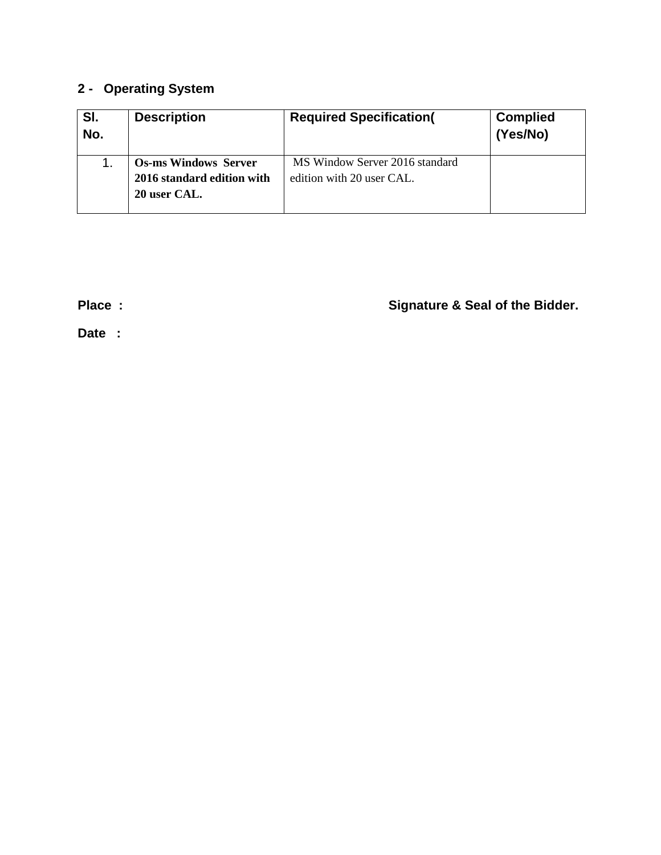# **2 - Operating System**

| SI.<br>No. | <b>Description</b>          | <b>Required Specification(</b> | <b>Complied</b><br>(Yes/No) |
|------------|-----------------------------|--------------------------------|-----------------------------|
|            | <b>Os-ms Windows Server</b> | MS Window Server 2016 standard |                             |
|            | 2016 standard edition with  | edition with 20 user CAL.      |                             |
|            | 20 user CAL.                |                                |                             |
|            |                             |                                |                             |

**Place : Signature & Seal of the Bidder.**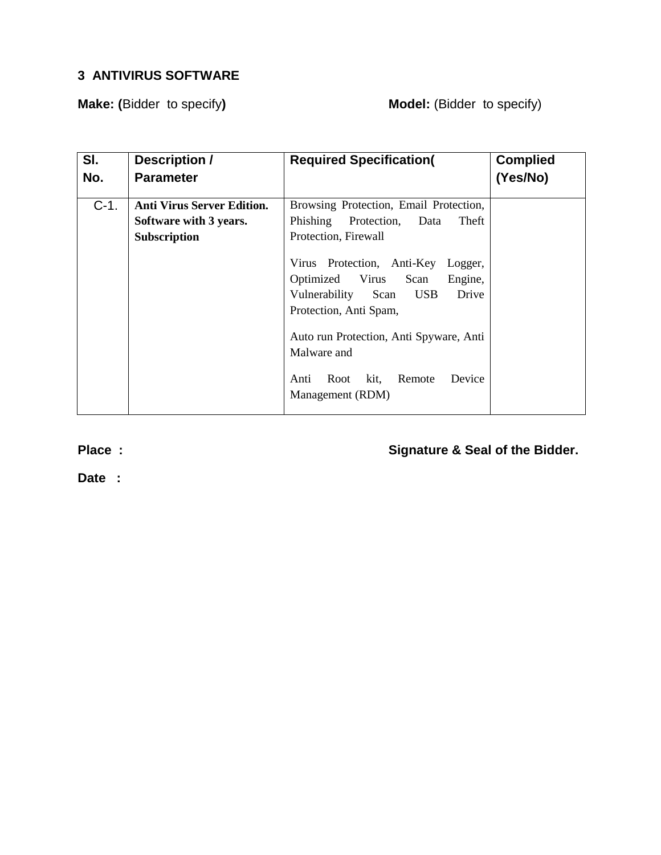# **3 ANTIVIRUS SOFTWARE**

**Make:** (Bidder to specify) **Model:** (Bidder to specify)

| SI.     | <b>Description /</b>              | <b>Required Specification(</b>                                                                                                                                                                                                                                         | <b>Complied</b> |
|---------|-----------------------------------|------------------------------------------------------------------------------------------------------------------------------------------------------------------------------------------------------------------------------------------------------------------------|-----------------|
| No.     | <b>Parameter</b>                  |                                                                                                                                                                                                                                                                        | (Yes/No)        |
|         |                                   |                                                                                                                                                                                                                                                                        |                 |
| $C-1$ . | <b>Anti Virus Server Edition.</b> | Browsing Protection, Email Protection,                                                                                                                                                                                                                                 |                 |
|         | Software with 3 years.            | Phishing<br>Protection,<br>Theft<br>Data                                                                                                                                                                                                                               |                 |
|         | Subscription                      | Protection, Firewall                                                                                                                                                                                                                                                   |                 |
|         |                                   | Virus Protection, Anti-Key<br>Logger,<br>Optimized Virus Scan<br>Engine,<br>Vulnerability Scan<br><b>USB</b><br>Drive<br>Protection, Anti Spam,<br>Auto run Protection, Anti Spyware, Anti<br>Malware and<br>Device<br>Root kit,<br>Remote<br>Anti<br>Management (RDM) |                 |

**Place : Signature & Seal of the Bidder.**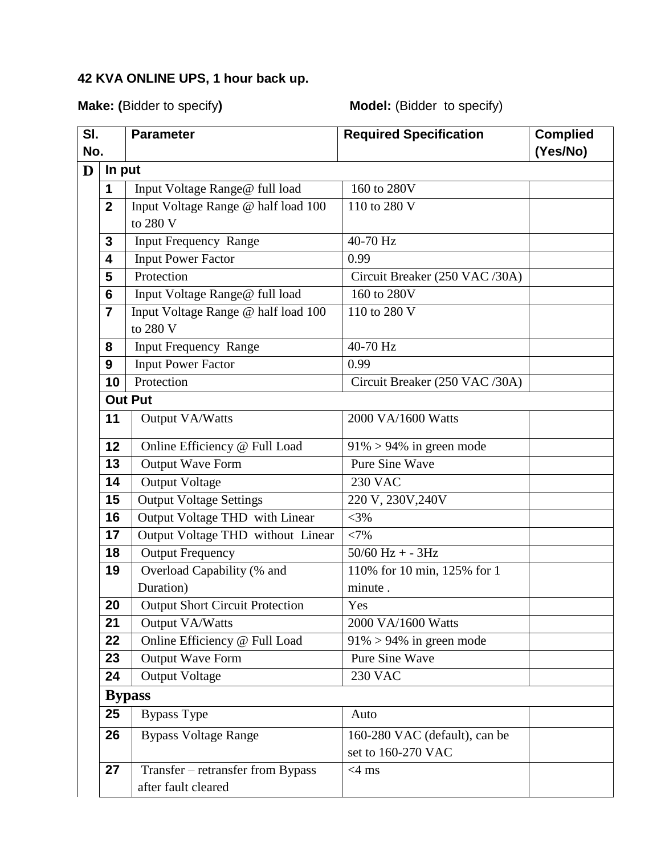# **42 KVA ONLINE UPS, 1 hour back up.**

# **Make: (**Bidder to specify**) Model:** (Bidder to specify)

| SI. |                  | <b>Parameter</b>                                         | <b>Required Specification</b>  | <b>Complied</b> |
|-----|------------------|----------------------------------------------------------|--------------------------------|-----------------|
| No. |                  |                                                          |                                | (Yes/No)        |
| D   | In put           |                                                          |                                |                 |
|     | 1                | Input Voltage Range@ full load                           | 160 to 280V                    |                 |
|     | $\boldsymbol{2}$ | Input Voltage Range @ half load 100                      | 110 to 280 V                   |                 |
|     |                  | to 280 V                                                 |                                |                 |
|     | 3                | <b>Input Frequency Range</b>                             | 40-70 Hz                       |                 |
|     | 4                | <b>Input Power Factor</b>                                | 0.99                           |                 |
|     | 5                | Protection                                               | Circuit Breaker (250 VAC /30A) |                 |
|     | 6                | Input Voltage Range@ full load                           | 160 to 280V                    |                 |
|     | $\overline{7}$   | Input Voltage Range @ half load 100<br>to 280 V          | 110 to 280 V                   |                 |
|     | 8                | <b>Input Frequency Range</b>                             | 40-70 Hz                       |                 |
|     | 9                | <b>Input Power Factor</b>                                | 0.99                           |                 |
|     | 10               | Protection                                               | Circuit Breaker (250 VAC /30A) |                 |
|     |                  | <b>Out Put</b>                                           |                                |                 |
|     | 11               | Output VA/Watts                                          | 2000 VA/1600 Watts             |                 |
|     | 12               | Online Efficiency @ Full Load                            | $91\% > 94\%$ in green mode    |                 |
|     | 13               | Output Wave Form                                         | <b>Pure Sine Wave</b>          |                 |
|     | 14               | <b>Output Voltage</b>                                    | <b>230 VAC</b>                 |                 |
|     | 15               | <b>Output Voltage Settings</b>                           | 220 V, 230V, 240V              |                 |
|     | 16               | Output Voltage THD with Linear                           | $<$ 3%                         |                 |
|     | 17               | Output Voltage THD without Linear                        | <7%                            |                 |
|     | 18               | <b>Output Frequency</b>                                  | $50/60$ Hz + - $3$ Hz          |                 |
|     | 19               | Overload Capability (% and                               | 110% for 10 min, 125% for 1    |                 |
|     |                  | Duration)                                                | minute.                        |                 |
|     | 20               | <b>Output Short Circuit Protection</b>                   | Yes                            |                 |
|     | 21               | Output VA/Watts                                          | 2000 VA/1600 Watts             |                 |
|     | 22               | Online Efficiency @ Full Load                            | $91\% > 94\%$ in green mode    |                 |
|     | 23               | Output Wave Form                                         | Pure Sine Wave                 |                 |
|     | 24               | <b>Output Voltage</b>                                    | <b>230 VAC</b>                 |                 |
|     |                  | <b>Bypass</b>                                            |                                |                 |
|     | 25               | <b>Bypass Type</b>                                       | Auto                           |                 |
|     | 26               | <b>Bypass Voltage Range</b>                              | 160-280 VAC (default), can be  |                 |
|     |                  |                                                          | set to 160-270 VAC             |                 |
|     | 27               | Transfer - retransfer from Bypass<br>after fault cleared | $<4$ ms                        |                 |
|     |                  |                                                          |                                |                 |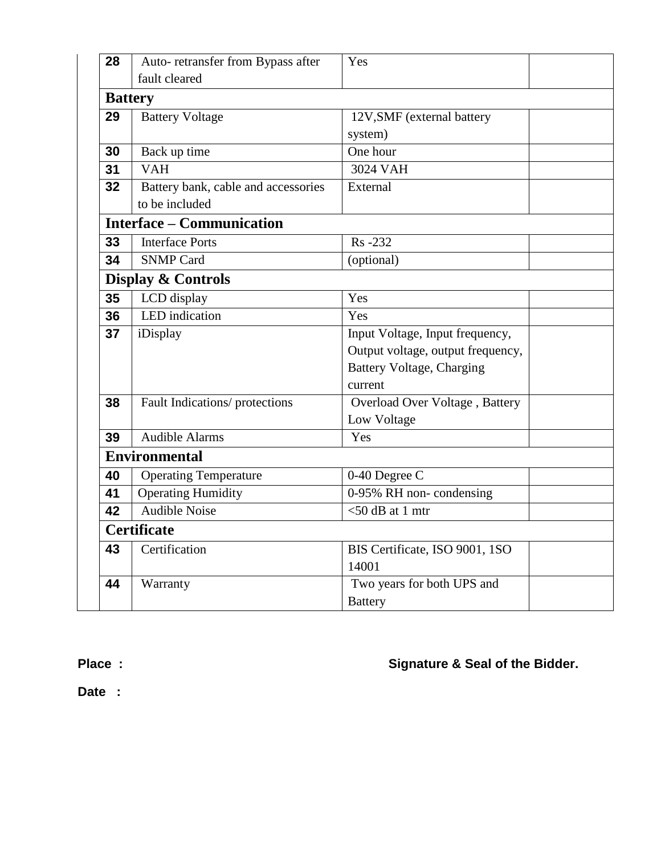| 28             | Auto- retransfer from Bypass after  | Yes                               |  |  |  |  |
|----------------|-------------------------------------|-----------------------------------|--|--|--|--|
|                | fault cleared                       |                                   |  |  |  |  |
| <b>Battery</b> |                                     |                                   |  |  |  |  |
| 29             | <b>Battery Voltage</b>              | 12V, SMF (external battery        |  |  |  |  |
|                |                                     | system)                           |  |  |  |  |
| 30             | Back up time                        | One hour                          |  |  |  |  |
| 31             | <b>VAH</b>                          | 3024 VAH                          |  |  |  |  |
| 32             | Battery bank, cable and accessories | External                          |  |  |  |  |
|                | to be included                      |                                   |  |  |  |  |
|                | <b>Interface – Communication</b>    |                                   |  |  |  |  |
| 33             | <b>Interface Ports</b>              | Rs-232                            |  |  |  |  |
| 34             | <b>SNMP Card</b>                    | (optional)                        |  |  |  |  |
|                | <b>Display &amp; Controls</b>       |                                   |  |  |  |  |
| 35             | LCD display                         | Yes                               |  |  |  |  |
| 36             | LED indication<br>Yes               |                                   |  |  |  |  |
| 37<br>iDisplay |                                     | Input Voltage, Input frequency,   |  |  |  |  |
|                |                                     | Output voltage, output frequency, |  |  |  |  |
|                |                                     | <b>Battery Voltage, Charging</b>  |  |  |  |  |
|                |                                     | current                           |  |  |  |  |
| 38             | Fault Indications/ protections      | Overload Over Voltage, Battery    |  |  |  |  |
|                |                                     | Low Voltage                       |  |  |  |  |
| 39             | <b>Audible Alarms</b>               | Yes                               |  |  |  |  |
|                | <b>Environmental</b>                |                                   |  |  |  |  |
| 40             | Operating Temperature               | 0-40 Degree C                     |  |  |  |  |
| 41             | <b>Operating Humidity</b>           | 0-95% RH non-condensing           |  |  |  |  |
| 42             | <b>Audible Noise</b>                | $<$ 50 dB at 1 mtr                |  |  |  |  |
|                | <b>Certificate</b>                  |                                   |  |  |  |  |
| 43             | Certification                       | BIS Certificate, ISO 9001, 1SO    |  |  |  |  |
|                |                                     | 14001                             |  |  |  |  |
| 44             | Warranty                            | Two years for both UPS and        |  |  |  |  |
|                |                                     | <b>Battery</b>                    |  |  |  |  |
|                |                                     |                                   |  |  |  |  |

**Place : Signature & Seal of the Bidder.**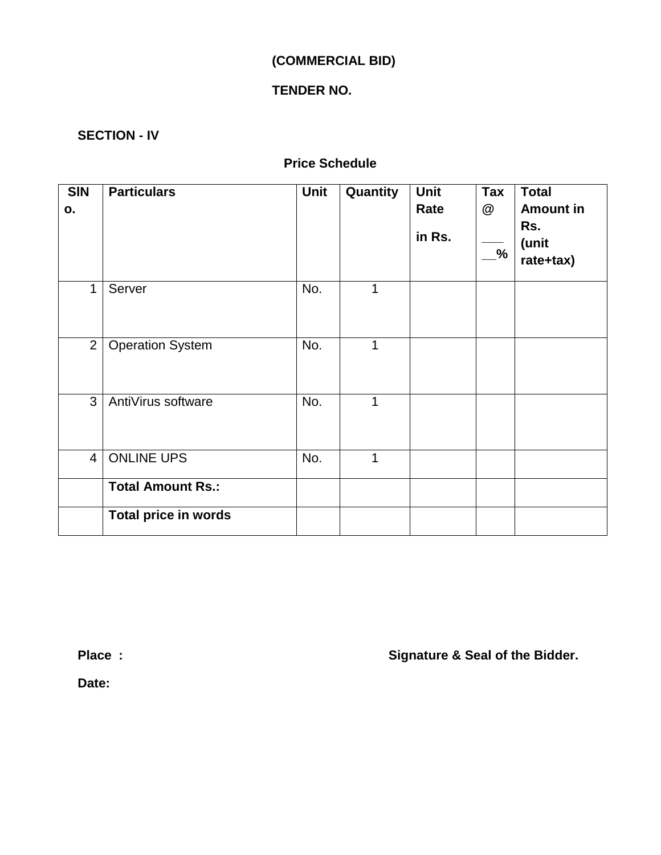# **(COMMERCIAL BID)**

# **TENDER NO.**

### **SECTION - IV**

# **Price Schedule**

| <b>SIN</b><br>О. | <b>Particulars</b>          | <b>Unit</b> | Quantity | <b>Unit</b><br>Rate<br>in Rs. | $\bar{a}$<br>@<br>$\frac{9}{6}$ | <b>Total</b><br><b>Amount in</b><br>Rs.<br>(unit<br>rate+tax) |
|------------------|-----------------------------|-------------|----------|-------------------------------|---------------------------------|---------------------------------------------------------------|
| $\mathbf{1}$     | Server                      | No.         | 1        |                               |                                 |                                                               |
| 2 <sup>1</sup>   | <b>Operation System</b>     | No.         | 1        |                               |                                 |                                                               |
| 3                | AntiVirus software          | No.         | 1        |                               |                                 |                                                               |
| $\overline{4}$   | <b>ONLINE UPS</b>           | No.         | 1        |                               |                                 |                                                               |
|                  | <b>Total Amount Rs.:</b>    |             |          |                               |                                 |                                                               |
|                  | <b>Total price in words</b> |             |          |                               |                                 |                                                               |

**Place : Signature & Seal of the Bidder.**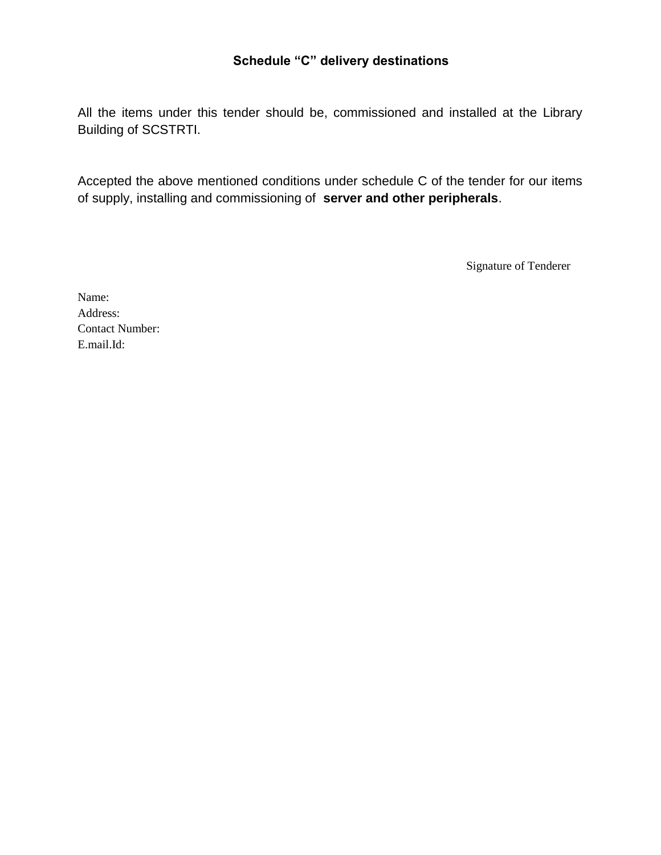### **Schedule "C" delivery destinations**

All the items under this tender should be, commissioned and installed at the Library Building of SCSTRTI.

Accepted the above mentioned conditions under schedule C of the tender for our items of supply, installing and commissioning of **server and other peripherals**.

Signature of Tenderer

Name: Address: Contact Number: E.mail.Id: